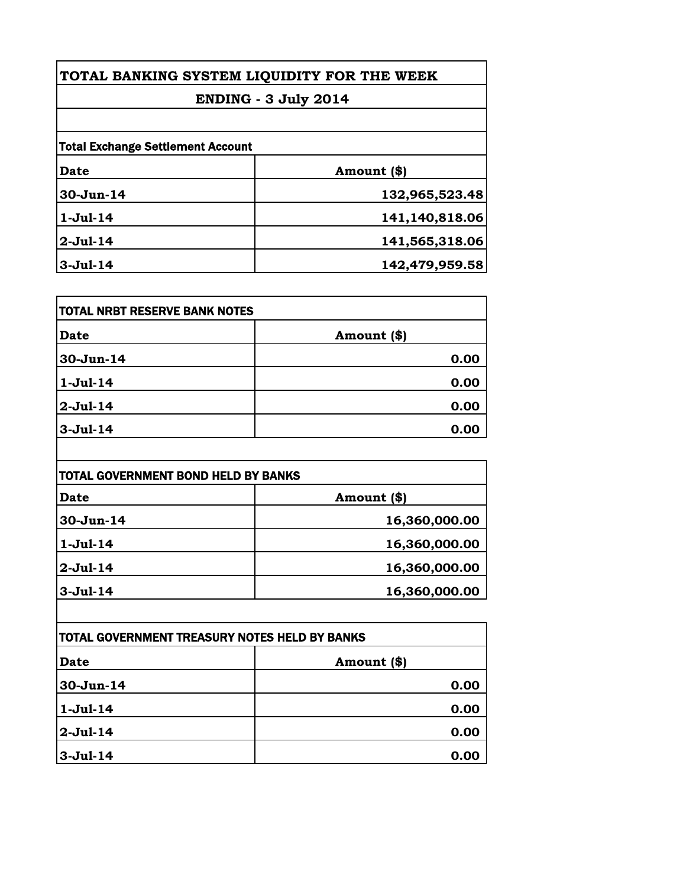| TOTAL BANKING SYSTEM LIQUIDITY FOR THE WEEK                             |                |           |                |
|-------------------------------------------------------------------------|----------------|-----------|----------------|
| <b>ENDING - 3 July 2014</b><br><b>Total Exchange Settlement Account</b> |                |           |                |
|                                                                         |                | Date      | Amount (\$)    |
|                                                                         |                | 30-Jun-14 | 132,965,523.48 |
| $1-Jul-14$                                                              | 141,140,818.06 |           |                |
| $2-Jul-14$                                                              | 141,565,318.06 |           |                |
| $3-Jul-14$                                                              | 142,479,959.58 |           |                |

| <b>TOTAL NRBT RESERVE BANK NOTES</b> |              |
|--------------------------------------|--------------|
| <b>Date</b>                          | Amount $(*)$ |
| 30-Jun-14                            | 0.00         |
| $1-Jul-14$                           | 0.00         |
| 2-Jul-14                             | 0.00         |
| $3-Jul-14$                           | 0.00         |

| <b>TOTAL GOVERNMENT BOND HELD BY BANKS</b> |               |
|--------------------------------------------|---------------|
| Date                                       | Amount (\$)   |
| $30-Jun-14$                                | 16,360,000.00 |
| $1-Jul-14$                                 | 16,360,000.00 |
| $2-Jul-14$                                 | 16,360,000.00 |
| $3-Jul-14$                                 | 16,360,000.00 |

| TOTAL GOVERNMENT TREASURY NOTES HELD BY BANKS |             |
|-----------------------------------------------|-------------|
| <b>Date</b>                                   | Amount (\$) |
| 30-Jun-14                                     | 0.00        |
| $1-Jul-14$                                    | 0.00        |
| 2-Jul-14                                      | 0.00        |
| $3-Jul-14$                                    | 0.00        |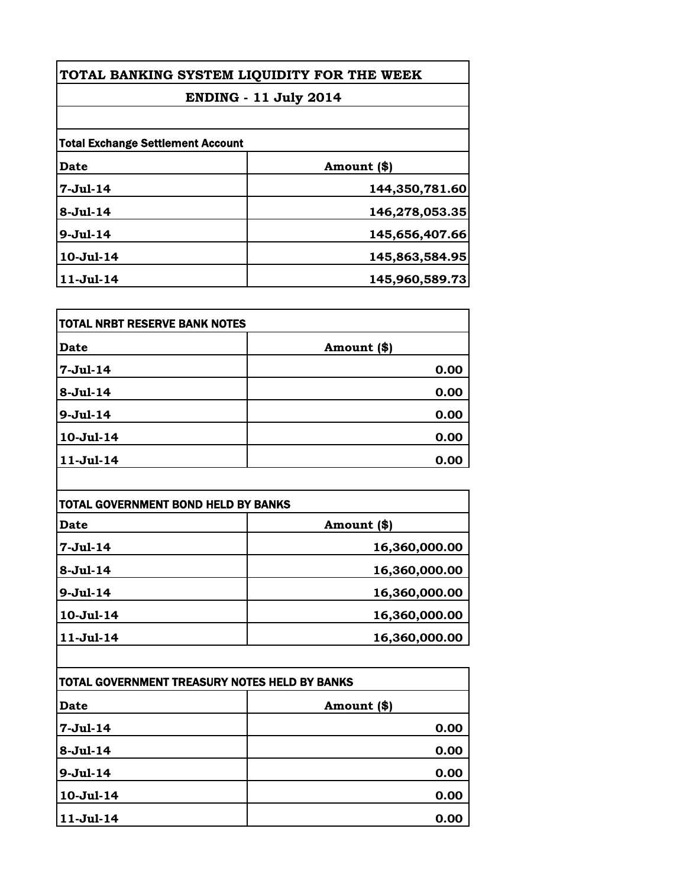| TOTAL BANKING SYSTEM LIQUIDITY FOR THE WEEK<br><b>ENDING - 11 July 2014</b> |                |             |                                          |  |
|-----------------------------------------------------------------------------|----------------|-------------|------------------------------------------|--|
|                                                                             |                |             | <b>Total Exchange Settlement Account</b> |  |
|                                                                             |                | <b>Date</b> | Amount (\$)                              |  |
| $7 - Ju1 - 14$                                                              | 144,350,781.60 |             |                                          |  |
| $8-Ju1-14$                                                                  | 146,278,053.35 |             |                                          |  |
| $9-Ju1-14$                                                                  | 145,656,407.66 |             |                                          |  |
| 10-Jul-14                                                                   | 145,863,584.95 |             |                                          |  |
| $11 -$ Jul $-14$                                                            | 145,960,589.73 |             |                                          |  |

| TOTAL NRBT RESERVE BANK NOTES |             |
|-------------------------------|-------------|
| <b>Date</b>                   | Amount (\$) |
| $7 -$ Jul $-14$               | 0.00        |
| 8-Jul-14                      | 0.00        |
| $9 - Jul - 14$                | 0.00        |
| 10-Jul-14                     | 0.00        |
| $11-Jul-14$                   | 0.00        |

| <b>TOTAL GOVERNMENT BOND HELD BY BANKS</b> |               |
|--------------------------------------------|---------------|
| <b>Date</b>                                | Amount (\$)   |
| $7 -$ Jul $-14$                            | 16,360,000.00 |
| $8 - Ju1 - 14$                             | 16,360,000.00 |
| $9 - Jul - 14$                             | 16,360,000.00 |
| 10-Jul-14                                  | 16,360,000.00 |
| $11 -$ Jul $-14$                           | 16,360,000.00 |

| TOTAL GOVERNMENT TREASURY NOTES HELD BY BANKS |             |
|-----------------------------------------------|-------------|
| Date                                          | Amount (\$) |
| $7-Jul-14$                                    | 0.00        |
| $8 - Jul - 14$                                | 0.00        |
| $9 - Jul - 14$                                | 0.00        |
| $10-Jul-14$                                   | 0.00        |
| 11-Jul-14                                     | 0.00        |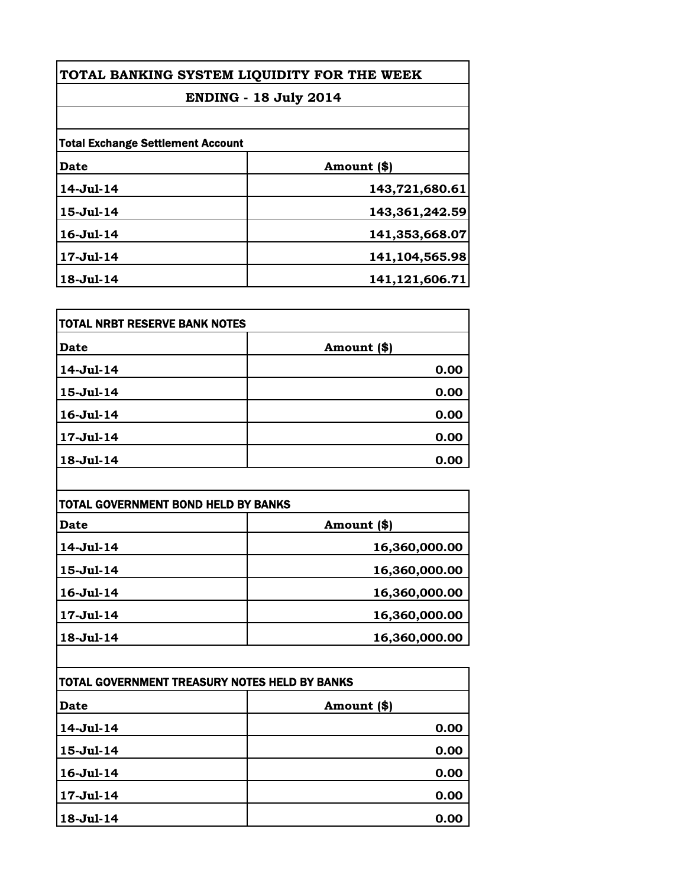| TOTAL BANKING SYSTEM LIQUIDITY FOR THE WEEK<br><b>ENDING - 18 July 2014</b> |                |                                          |             |
|-----------------------------------------------------------------------------|----------------|------------------------------------------|-------------|
|                                                                             |                | <b>Total Exchange Settlement Account</b> |             |
|                                                                             |                | Date                                     | Amount (\$) |
| 14-Jul-14                                                                   | 143,721,680.61 |                                          |             |
| 15-Jul-14                                                                   | 143,361,242.59 |                                          |             |
| $16 -$ Jul $-14$                                                            | 141,353,668.07 |                                          |             |
| 17-Jul-14                                                                   | 141,104,565.98 |                                          |             |
| 18-Jul-14                                                                   | 141,121,606.71 |                                          |             |

| TOTAL NRBT RESERVE BANK NOTES |             |
|-------------------------------|-------------|
| <b>Date</b>                   | Amount (\$) |
| 14-Jul-14                     | 0.00        |
| 15-Jul-14                     | 0.00        |
| 16-Jul-14                     | 0.00        |
| 17-Jul-14                     | 0.00        |
| 18-Jul-14                     | 0.00        |

| <b>TOTAL GOVERNMENT BOND HELD BY BANKS</b> |               |
|--------------------------------------------|---------------|
| <b>Date</b>                                | Amount (\$)   |
| $14 -$ Jul $-14$                           | 16,360,000.00 |
| 15-Jul-14                                  | 16,360,000.00 |
| $16 -$ Jul $-14$                           | 16,360,000.00 |
| $17 -$ Jul $-14$                           | 16,360,000.00 |
| 18-Jul-14                                  | 16,360,000.00 |

| TOTAL GOVERNMENT TREASURY NOTES HELD BY BANKS |             |
|-----------------------------------------------|-------------|
| <b>Date</b>                                   | Amount (\$) |
| 14-Jul-14                                     | 0.00        |
| 15-Jul-14                                     | 0.00        |
| 16-Jul-14                                     | 0.00        |
| 17-Jul-14                                     | 0.00        |
| $18 - Jul - 14$                               | 0.00        |